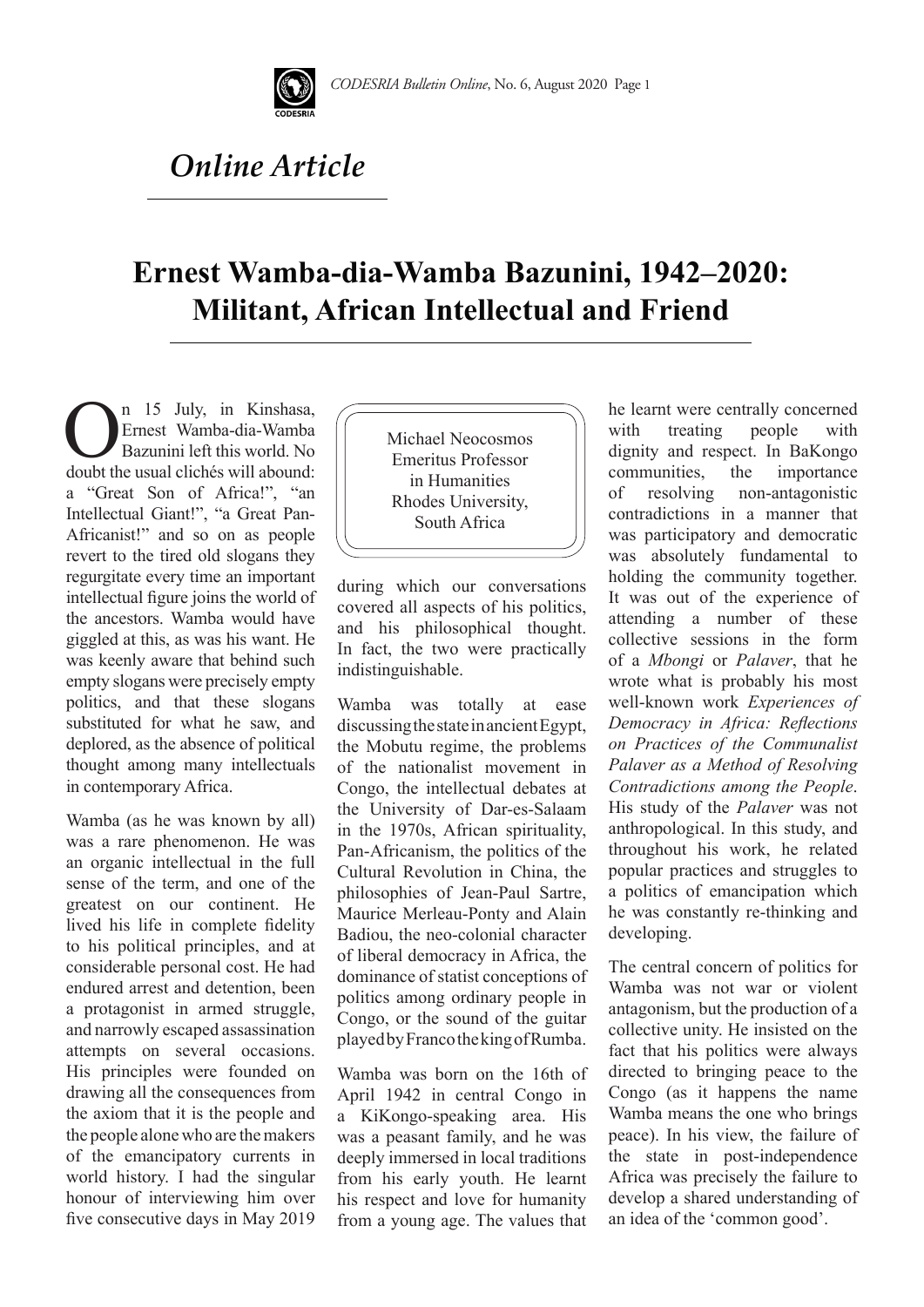

## *Online Article*

## **Ernest Wamba-dia-Wamba Bazunini, 1942–2020: Militant, African Intellectual and Friend**

**On 15 July, in Kinshasa, Ernest Wamba-dia-Wamba**<br>Bazunini left this world. No doubt the usual clichés will abound: Ernest Wamba-dia-Wamba Bazunini left this world. No a "Great Son of Africa!", "an Intellectual Giant!", "a Great Pan-Africanist!" and so on as people revert to the tired old slogans they regurgitate every time an important intellectual figure joins the world of the ancestors. Wamba would have giggled at this, as was his want. He was keenly aware that behind such empty slogans were precisely empty politics, and that these slogans substituted for what he saw, and deplored, as the absence of political thought among many intellectuals in contemporary Africa.

Wamba (as he was known by all) was a rare phenomenon. He was an organic intellectual in the full sense of the term, and one of the greatest on our continent. He lived his life in complete fidelity to his political principles, and at considerable personal cost. He had endured arrest and detention, been a protagonist in armed struggle, and narrowly escaped assassination attempts on several occasions. His principles were founded on drawing all the consequences from the axiom that it is the people and the people alone who are the makers of the emancipatory currents in world history. I had the singular honour of interviewing him over five consecutive days in May 2019 Michael Neocosmos Emeritus Professor in Humanities Rhodes University, South Africa

during which our conversations covered all aspects of his politics, and his philosophical thought. In fact, the two were practically indistinguishable.

Wamba was totally at ease discussing the state in ancient Egypt, the Mobutu regime, the problems of the nationalist movement in Congo, the intellectual debates at the University of Dar-es-Salaam in the 1970s, African spirituality, Pan-Africanism, the politics of the Cultural Revolution in China, the philosophies of Jean-Paul Sartre, Maurice Merleau-Ponty and Alain Badiou, the neo-colonial character of liberal democracy in Africa, the dominance of statist conceptions of politics among ordinary people in Congo, or the sound of the guitar played by Franco the king of Rumba.

Wamba was born on the 16th of April 1942 in central Congo in a KiKongo-speaking area. His was a peasant family, and he was deeply immersed in local traditions from his early youth. He learnt his respect and love for humanity from a young age. The values that

he learnt were centrally concerned with treating people with dignity and respect. In BaKongo communities, the importance<br>of resolving non-antagonistic of resolving non-antagonistic contradictions in a manner that was participatory and democratic was absolutely fundamental to holding the community together. It was out of the experience of attending a number of these collective sessions in the form of a *Mbongi* or *Palaver*, that he wrote what is probably his most well-known work *Experiences of Democracy in Africa: Reflections on Practices of the Communalist Palaver as a Method of Resolving Contradictions among the People*. His study of the *Palaver* was not anthropological. In this study, and throughout his work, he related popular practices and struggles to a politics of emancipation which he was constantly re-thinking and developing.

The central concern of politics for Wamba was not war or violent antagonism, but the production of a collective unity. He insisted on the fact that his politics were always directed to bringing peace to the Congo (as it happens the name Wamba means the one who brings peace). In his view, the failure of the state in post-independence Africa was precisely the failure to develop a shared understanding of an idea of the 'common good'.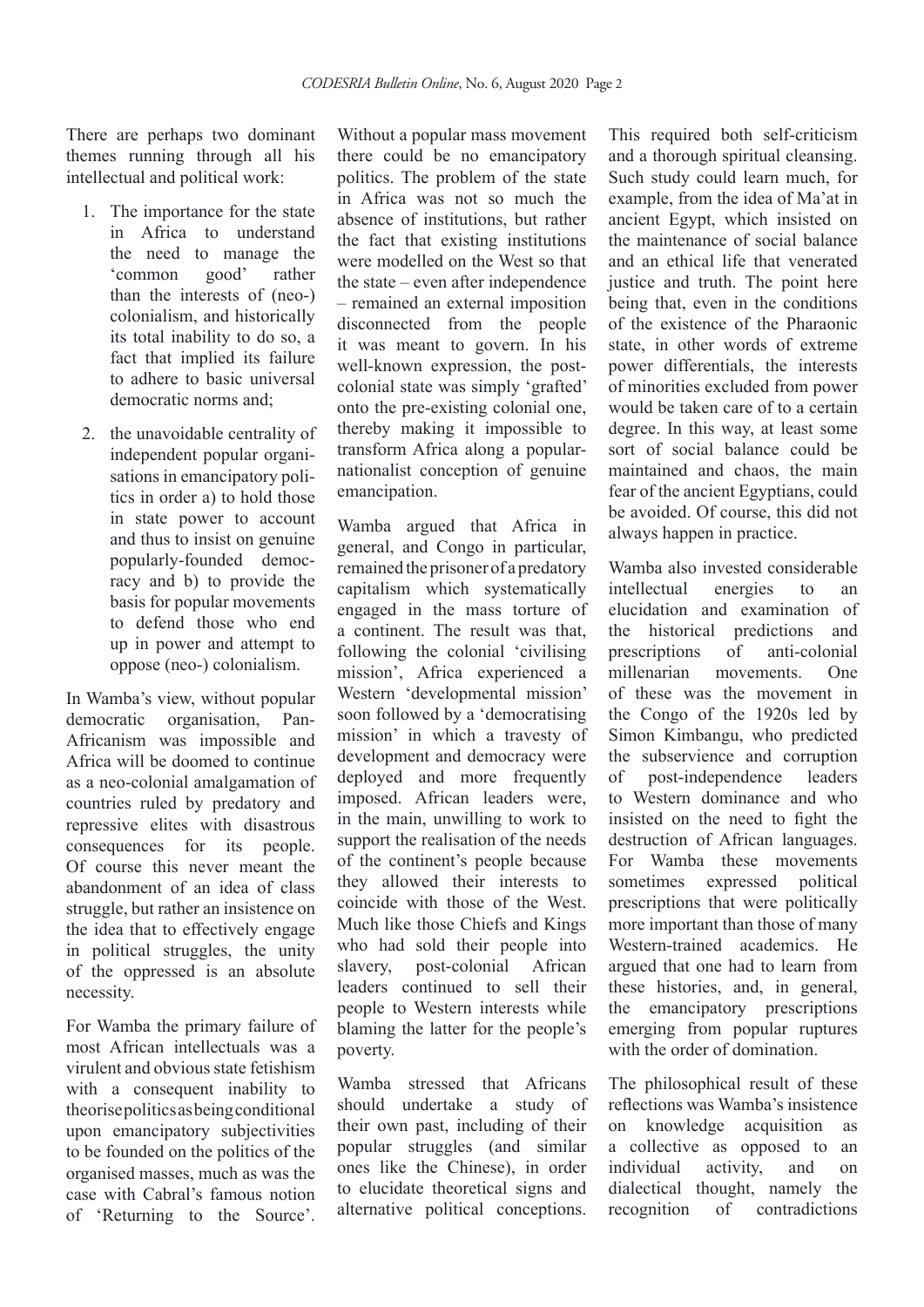There are perhaps two dominant themes running through all his intellectual and political work:

- 1. The importance for the state in Africa to understand the need to manage the 'common good' rather than the interests of (neo-) colonialism, and historically its total inability to do so, a fact that implied its failure to adhere to basic universal democratic norms and;
- 2. the unavoidable centrality of independent popular organisations in emancipatory politics in order a) to hold those in state power to account and thus to insist on genuine popularly-founded democracy and b) to provide the basis for popular movements to defend those who end up in power and attempt to oppose (neo-) colonialism.

In Wamba's view, without popular democratic organisation, Pan-Africanism was impossible and Africa will be doomed to continue as a neo-colonial amalgamation of countries ruled by predatory and repressive elites with disastrous consequences for its people. Of course this never meant the abandonment of an idea of class struggle, but rather an insistence on the idea that to effectively engage in political struggles, the unity of the oppressed is an absolute necessity.

For Wamba the primary failure of most African intellectuals was a virulent and obvious state fetishism with a consequent inability to theorise politics as being conditional upon emancipatory subjectivities to be founded on the politics of the organised masses, much as was the case with Cabral's famous notion of 'Returning to the Source'.

Without a popular mass movement there could be no emancipatory politics. The problem of the state in Africa was not so much the absence of institutions, but rather the fact that existing institutions were modelled on the West so that the state – even after independence – remained an external imposition disconnected from the people it was meant to govern. In his well-known expression, the postcolonial state was simply 'grafted' onto the pre-existing colonial one, thereby making it impossible to transform Africa along a popularnationalist conception of genuine emancipation.

Wamba argued that Africa in general, and Congo in particular, remained the prisoner of a predatory capitalism which systematically engaged in the mass torture of a continent. The result was that, following the colonial 'civilising mission', Africa experienced a Western 'developmental mission' soon followed by a 'democratising mission' in which a travesty of development and democracy were deployed and more frequently imposed. African leaders were, in the main, unwilling to work to support the realisation of the needs of the continent's people because they allowed their interests to coincide with those of the West. Much like those Chiefs and Kings who had sold their people into slavery, post-colonial African leaders continued to sell their people to Western interests while blaming the latter for the people's poverty.

Wamba stressed that Africans should undertake a study of their own past, including of their popular struggles (and similar ones like the Chinese), in order to elucidate theoretical signs and alternative political conceptions.

This required both self-criticism and a thorough spiritual cleansing. Such study could learn much, for example, from the idea of Ma'at in ancient Egypt, which insisted on the maintenance of social balance and an ethical life that venerated justice and truth. The point here being that, even in the conditions of the existence of the Pharaonic state, in other words of extreme power differentials, the interests of minorities excluded from power would be taken care of to a certain degree. In this way, at least some sort of social balance could be maintained and chaos, the main fear of the ancient Egyptians, could be avoided. Of course, this did not always happen in practice.

Wamba also invested considerable intellectual energies to an elucidation and examination of the historical predictions and prescriptions of anti-colonial millenarian movements. One of these was the movement in the Congo of the 1920s led by Simon Kimbangu, who predicted the subservience and corruption of post-independence leaders to Western dominance and who insisted on the need to fight the destruction of African languages. For Wamba these movements sometimes expressed political prescriptions that were politically more important than those of many Western-trained academics. He argued that one had to learn from these histories, and, in general, the emancipatory prescriptions emerging from popular ruptures with the order of domination.

The philosophical result of these reflections was Wamba's insistence on knowledge acquisition as a collective as opposed to an individual activity, and on dialectical thought, namely the recognition of contradictions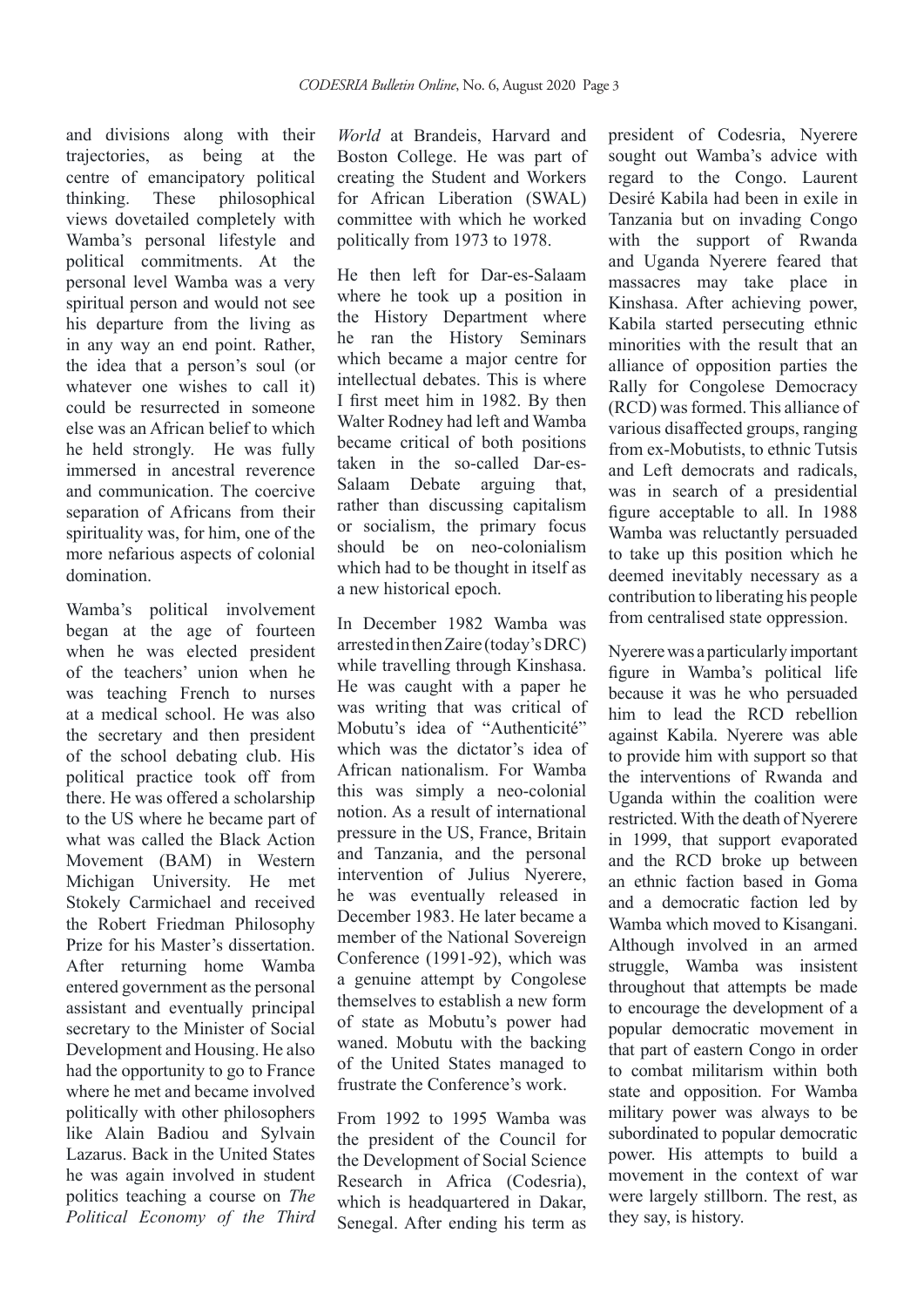and divisions along with their trajectories, as being at the centre of emancipatory political thinking. These philosophical views dovetailed completely with Wamba's personal lifestyle and political commitments. At the personal level Wamba was a very spiritual person and would not see his departure from the living as in any way an end point. Rather, the idea that a person's soul (or whatever one wishes to call it) could be resurrected in someone else was an African belief to which he held strongly. He was fully immersed in ancestral reverence and communication. The coercive separation of Africans from their spirituality was, for him, one of the more nefarious aspects of colonial domination.

Wamba's political involvement began at the age of fourteen when he was elected president of the teachers' union when he was teaching French to nurses at a medical school. He was also the secretary and then president of the school debating club. His political practice took off from there. He was offered a scholarship to the US where he became part of what was called the Black Action Movement (BAM) in Western Michigan University. He met Stokely Carmichael and received the Robert Friedman Philosophy Prize for his Master's dissertation. After returning home Wamba entered government as the personal assistant and eventually principal secretary to the Minister of Social Development and Housing. He also had the opportunity to go to France where he met and became involved politically with other philosophers like Alain Badiou and Sylvain Lazarus. Back in the United States he was again involved in student politics teaching a course on *The Political Economy of the Third* 

*World* at Brandeis, Harvard and Boston College. He was part of creating the Student and Workers for African Liberation (SWAL) committee with which he worked politically from 1973 to 1978.

He then left for Dar-es-Salaam where he took up a position in the History Department where he ran the History Seminars which became a major centre for intellectual debates. This is where I first meet him in 1982. By then Walter Rodney had left and Wamba became critical of both positions taken in the so-called Dar-es-Salaam Debate arguing that, rather than discussing capitalism or socialism, the primary focus should be on neo-colonialism which had to be thought in itself as a new historical epoch.

In December 1982 Wamba was arrested in then Zaire (today's DRC) while travelling through Kinshasa. He was caught with a paper he was writing that was critical of Mobutu's idea of "Authenticité" which was the dictator's idea of African nationalism. For Wamba this was simply a neo-colonial notion. As a result of international pressure in the US, France, Britain and Tanzania, and the personal intervention of Julius Nyerere, he was eventually released in December 1983. He later became a member of the National Sovereign Conference (1991-92), which was a genuine attempt by Congolese themselves to establish a new form of state as Mobutu's power had waned. Mobutu with the backing of the United States managed to frustrate the Conference's work.

From 1992 to 1995 Wamba was the president of the Council for the Development of Social Science Research in Africa (Codesria), which is headquartered in Dakar, Senegal. After ending his term as president of Codesria, Nyerere sought out Wamba's advice with regard to the Congo. Laurent Desiré Kabila had been in exile in Tanzania but on invading Congo with the support of Rwanda and Uganda Nyerere feared that massacres may take place in Kinshasa. After achieving power, Kabila started persecuting ethnic minorities with the result that an alliance of opposition parties the Rally for Congolese Democracy (RCD) was formed. This alliance of various disaffected groups, ranging from ex-Mobutists, to ethnic Tutsis and Left democrats and radicals, was in search of a presidential figure acceptable to all. In 1988 Wamba was reluctantly persuaded to take up this position which he deemed inevitably necessary as a contribution to liberating his people from centralised state oppression.

Nyerere was a particularly important figure in Wamba's political life because it was he who persuaded him to lead the RCD rebellion against Kabila. Nyerere was able to provide him with support so that the interventions of Rwanda and Uganda within the coalition were restricted. With the death of Nyerere in 1999, that support evaporated and the RCD broke up between an ethnic faction based in Goma and a democratic faction led by Wamba which moved to Kisangani. Although involved in an armed struggle, Wamba was insistent throughout that attempts be made to encourage the development of a popular democratic movement in that part of eastern Congo in order to combat militarism within both state and opposition. For Wamba military power was always to be subordinated to popular democratic power. His attempts to build a movement in the context of war were largely stillborn. The rest, as they say, is history.